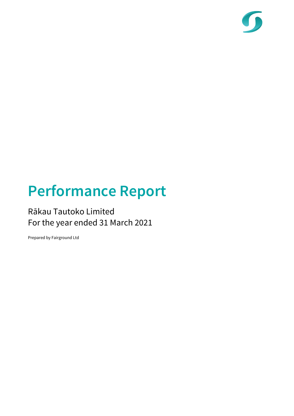

# Performance Report

### Rākau Tautoko Limited For the year ended 31 March 2021

Prepared by Fairground Ltd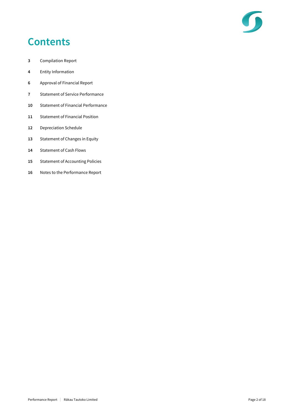

## **Contents**

- Compilation Report
- Entity Information
- Approval of Financial Report
- Statement of Service Performance
- Statement of Financial Performance
- Statement of Financial Position
- Depreciation Schedule
- 13 Statement of Changes in Equity
- 14 Statement of Cash Flows
- 15 Statement of Accounting Policies
- Notes to the Performance Report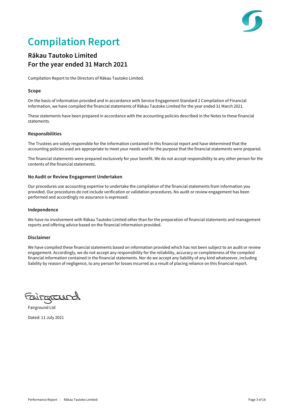## Compilation Report

### Rākau Tautoko Limited For the year ended 31 March 2021

Compilation Report to the Directors of Rākau Tautoko Limited.

#### Scope

On the basis of information provided and in accordance with Service Engagement Standard 2 Compilation of Financial Information, we have compiled the financial statements of Rākau Tautoko Limited for the year ended 31 March 2021.

These statements have been prepared in accordance with the accounting policies described in the Notes to these financial statements.

#### Responsibilities

The Trustees are solely responsible for the information contained in this financial report and have determined that the accounting policies used are appropriate to meet your needs and for the purpose that the financial statements were prepared.

The financial statements were prepared exclusively for your benefit. We do not accept responsibility to any other person for the contents of the financial statements.

#### No Audit or Review Engagement Undertaken

Our procedures use accounting expertise to undertake the compilation of the financial statements from information you provided. Our procedures do not include verification or validation procedures. No audit or review engagement has been performed and accordingly no assurance is expressed.

#### Independence

We have no involvement with Rākau Tautoko Limited other than for the preparation of financial statements and management reports and offering advice based on the financial information provided.

#### Disclaimer

We have compiled these financial statements based on information provided which has not been subject to an audit or review engagement. Accordingly, we do not accept any responsibility for the reliability, accuracy or completeness of the compiled financial information contained in the financial statements. Nor do we accept any liability of any kind whatsoever, including liability by reason of negligence, to any person for losses incurred as a result of placing reliance on this financial report.

tairorall --

Fairground Ltd Dated: 11 July 2021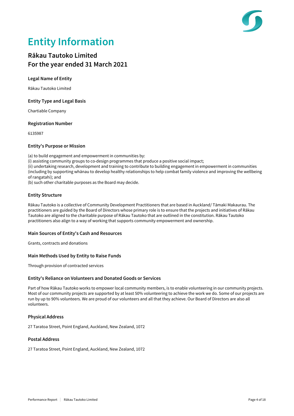

## Entity Information

### Rākau Tautoko Limited For the year ended 31 March 2021

#### Legal Name of Entity

Rākau Tautoko Limited

#### Entity Type and Legal Basis

Chartiable Company

#### Registration Number

6135987

#### Entity's Purpose or Mission

(a) to build engagement and empowerment in communities by:

(i) assisting community groups to co-design programmes that produce a positive social impact;

(ii) undertaking research, development and training to contribute to building engagement in empowerment in communities (including by supporting whānau to develop healthy relationships to help combat family violence and improving the wellbeing of rangatahi); and

(b) such other charitable purposes as the Board may decide.

#### Entity Structure

Rākau Tautoko is a collective of Community Development Practitioners that are based in Auckland/ Tāmaki Makaurau. The practitioners are guided by the Board of Directors whose primary role is to ensure that the projects and initiatives of Rākau Tautoko are aligned to the charitable purpose of Rākau Tautoko that are outlined in the constitution. Rākau Tautoko practitioners also align to a way of working that supports community empowerment and ownership.

#### Main Sources of Entity's Cash and Resources

Grants, contracts and donations

#### Main Methods Used by Entity to Raise Funds

Through provision of contracted services

#### Entity's Reliance on Volunteers and Donated Goods or Services

Part of how Rākau Tautoko works to empower local community members, is to enable volunteering in our community projects. Most of our community projects are supported by at least 50% volunteering to achieve the work we do. Some of our projects are run by up to 90% volunteers. We are proud of our volunteers and all that they achieve. Our Board of Directors are also all volunteers.

#### Physical Address

27 Taratoa Street, Point England, Auckland, New Zealand, 1072

#### Postal Address

27 Taratoa Street, Point England, Auckland, New Zealand, 1072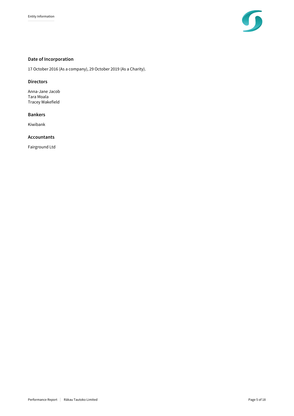

### Date of Incorporation

17 October 2016 (As a company), 29 October 2019 (As a Charity).

#### **Directors**

Anna-Jane Jacob Tara Moala Tracey Wakefield

#### Bankers

Kiwibank

#### Accountants

Fairground Ltd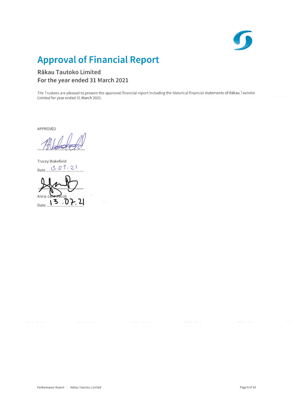

## **Approval of Financial Report**

### Rākau Tautoko Limited For the year ended 31 March 2021

The Trustees are pleased to present the approved financial report including the historical financial statements of Rākau Tautoko Limited for year ended 31 March 2021.

APPROVED

Tracey Wakefield Date 3.07.21

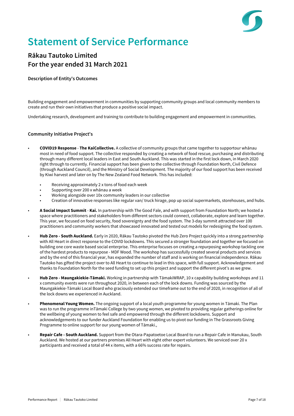## Statement of Service Performance

### Rākau Tautoko Limited For the year ended 31 March 2021

#### Description of Entity's Outcomes

Building engagement and empowerment in communities by supporting community groups and local community members to create and run their own initiatives that produce a positive social impact.

Undertaking research, development and training to contribute to building engagement and empowerment in communities.

#### Community Initiative Project's

- **COVID19 Response The KaiCollective.** A collective of community groups that came together to supportour whānau most in need of food support. The collective responded by creating a network of food rescue, purchasing and distributing through many different local leaders in East and South Auckland. This was started in the first lock down, in March 2020 right through to currently. Financial support has been given to the collective through Foundation North, Civil Defence (through Auckland Council), and the Ministry of Social Development. The majority of our food support has been received by Kiwi harvest and later on by The New Zealand Food Network. This has included:
	- Receiving approximately 2 x tons of food each week
	- Supporting over 200 x whānau a week
	- Working alongside over 10x community leaders in our collective
	- Creation of innovative responses like regular van/ truck hirage, pop up social supermarkets, storehouses, and hubs.
- A Social Impact Summit Kai. In partnership with The Good Fale, and with support from Foundation North; we hosted a space where practitioners and stakeholders from different sectors could connect, collaborate, explore and learn together. This year, we focused on food security, food sovereignty and the food system. The 3-day summit attracted over 100 practitioners and community workers that showcased innovated and tested out models for redesigning the food system.
- Hub Zero South Auckland. Early in 2020, Rākau Tautoko pivoted the Hub Zero Project quickly into a strong partnership with All Heart in direct response to the COVID lockdowns. This secured a stronger foundation and together we focused on building one core waste based social enterprise. This enterprise focuses on creating a repurposing workshop tackling one of the hardest products to repurpose - MDF Wood. The workshop has successfully created several products and services and by the end of this financial year, has expanded the number of staff and is working on financial independence. Rākau Tautoko has gifted the project over to All Heart to continue to lead in this space, with full support. Acknowledgement and thanks to Foundation North for the seed funding to set up this project and support the different pivot's as we grew.
- Hub Zero Maungakiekie-Tāmaki. Working in partnership with TāmakiWRAP, 10 x capability building workshops and 11 x community events were run throughout 2020, in between each of the lock downs. Funding was sourced by the Maungakiekie-Tāmaki Local Board who graciously extended our timeframe out to the end of 2020, in recognition of all of the lock downs we experienced in Auckland.
- Phenomenal Young Women. The ongoing support of a local youth programme for young women in Tāmaki. The Plan was to run the programme inTāmaki College by two young women, we pivoted to providing regular gatherings online for the wellbeing of young women to feel safe and empowered through the different lockdowns. Support and acknowledgements to our funder Auckland Foundation for enabling us to pivot our funding in The Grassroots Giving Programme to online support for our young women of Tāmaki.,
- Repair Cafe South Auckland. Support from the Otara-Papatoetoe Local Board to run a Repair Cafe in Manukau, South Auckland. We hosted at our partners premises All Heart with eight other expert volunteers. We serviced over 20 x participants and received a total of 44 x items, with a 66% success rate for repairs.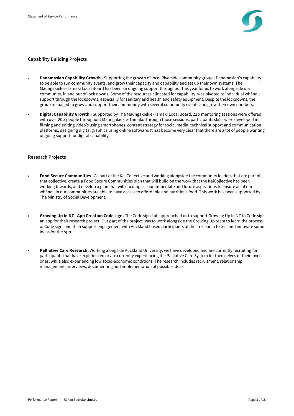

#### Capability Building Projects

- **Panamasian Capability Growth -** Supporting the growth of local Riverside community group Panamasian's capability to be able to run community events, and grow their capacity and capability and set up their own systems. The Maungakiekie-Tmaki Local Board has been an ongoing support throughout this year for us to work alongside our community, in and out of lock downs. Some of the resources allocated for capability, was pivoted to individual whanau support through the lockdowns, especially for sanitary and health and safety equipment. Despite the lockdowns, the group managed to grow and support their community with several community events and grow their own numbers.
- Digital Capability Growth Supported by The Maungakiekie-Tāmaki Local Board, 22 x mentoring sessions were offered with over 20 x people throughout Maungakiekie-Tāmaki. Through those sessions, participants skills were developed in filming and editing video's using smartphones, content strategy for social media, technical support and communication platforms, designing digital graphics using online software. It has become very clear that there are a lot of people wanting ongoing support for digital capability.

#### Research Projects

- Food Secure Communities As part of the Kai Collective and working alongside the community leaders that are part of that collective, create a Food Secure Communities plan that will build on the work that the KaiCollective has been working towards, and develop a plan that will encompass our immediate and future aspirations to ensure all of our whānau in our communities are able to have access to affordable and nutritious food. This work has been supported by The Ministry of Social Development.
- Growing Up In NZ App Creation Code sign. The Code sign Lab approached us to support Growing Up In NZ to Code sign an app for their research project. Our part of the project was to work alongside the Growing Up team to learn the process of Code sign, and then support engagement with Auckland based participants of their research to test and innovate some ideas for the App.
- Palliative Care Research. Working alongside Auckland University, we have developed and are currently recruiting for participants that have experienced or are currently experiencing the Palliative Care System for themselves or their loved ones, while also experiencing low socio-economic conditions. The research includes recruitment, relationship management, interviews, documenting and implementation of possible ideas.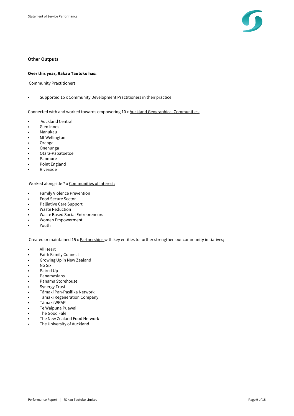

#### Other Outputs

#### Over this year, Rākau Tautoko has:

Community Practitioners

• Supported 15 x Community Development Practitioners in their practice

Connected with and worked towards empowering 10 x Auckland Geographical Communities;

- Auckland Central
- Glen Innes
- Manukau
- Mt Wellington
- Oranga
- Onehunga
- Otara-Papatoetoe
- Panmure
- Point England
- **Riverside**

Worked alongside 7 x Communities of Interest;

- Family Violence Prevention
- Food Secure Sector
- Palliative Care Support
- Waste Reduction
- Waste Based Social Entrepreneurs
- Women Empowerment
- Youth

Created or maintained 15 x Partnerships with key entities to further strengthen our community initiatives;

- All Heart
- Faith Family Connect
- Growing Up in New Zealand
- No Six
- Paired Up
- Panamasians
- Panama Storehouse
- Synergy Trust
- Tāmaki Pan-Pasifika Network
- Tāmaki Regeneration Company
- Tāmaki WRAP
- Te Waipuna Puawai
- The Good Fale
- The New Zealand Food Network
- The University of Auckland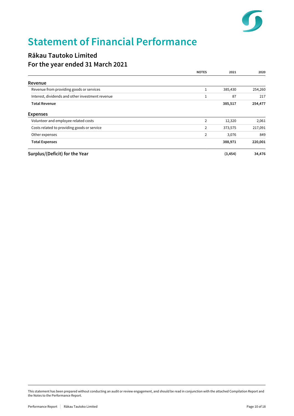

## Statement of Financial Performance

### Rākau Tautoko Limited For the year ended 31 March 2021

|                                                  | <b>NOTES</b>   | 2021     | 2020    |
|--------------------------------------------------|----------------|----------|---------|
| Revenue                                          |                |          |         |
| Revenue from providing goods or services         |                | 385,430  | 254,260 |
| Interest, dividends and other investment revenue |                | 87       | 217     |
| <b>Total Revenue</b>                             |                | 385,517  | 254,477 |
| <b>Expenses</b>                                  |                |          |         |
| Volunteer and employee related costs             | 2              | 12,320   | 2,061   |
| Costs related to providing goods or service      | $\overline{2}$ | 373,575  | 217,091 |
| Other expenses                                   | 2              | 3,076    | 849     |
| <b>Total Expenses</b>                            |                | 388,971  | 220,001 |
| Surplus/(Deficit) for the Year                   |                | (3, 454) | 34,476  |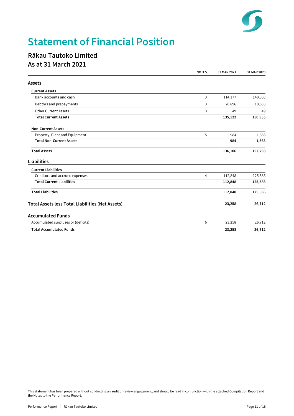

## Statement of Financial Position

### Rākau Tautoko Limited As at 31 March 2021

|                                                         | <b>NOTES</b> | 31 MAR 2021 | 31 MAR 2020 |
|---------------------------------------------------------|--------------|-------------|-------------|
| <b>Assets</b>                                           |              |             |             |
| <b>Current Assets</b>                                   |              |             |             |
| Bank accounts and cash                                  | 3            | 114,177     | 140,303     |
| Debtors and prepayments                                 | 3            | 20,896      | 10,583      |
| <b>Other Current Assets</b>                             | 3            | 49          | 49          |
| <b>Total Current Assets</b>                             |              | 135,122     | 150,935     |
| <b>Non-Current Assets</b>                               |              |             |             |
| Property, Plant and Equipment                           | 5            | 984         | 1,363       |
| <b>Total Non-Current Assets</b>                         |              | 984         | 1,363       |
| <b>Total Assets</b>                                     |              | 136,106     | 152,298     |
| Liabilities                                             |              |             |             |
| <b>Current Liabilities</b>                              |              |             |             |
| Creditors and accrued expenses                          | 4            | 112,848     | 125,586     |
| <b>Total Current Liabilities</b>                        |              | 112,848     | 125,586     |
| <b>Total Liabilities</b>                                |              | 112,848     | 125,586     |
| <b>Total Assets less Total Liabilities (Net Assets)</b> |              | 23,258      | 26,712      |
| <b>Accumulated Funds</b>                                |              |             |             |
| Accumulated surpluses or (deficits)                     | 6            | 23,258      | 26,712      |
| <b>Total Accumulated Funds</b>                          |              | 23,258      | 26,712      |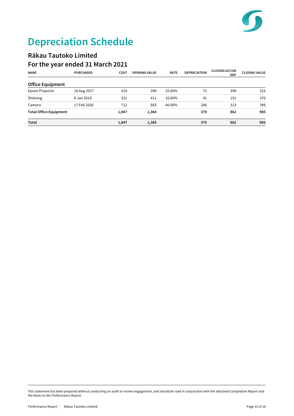

# Depreciation Schedule

### Rākau Tautoko Limited For the year ended 31 March 2021

| <b>NAME</b>                   | <b>PURCHASED</b> | <b>COST</b> | <b>OPENING VALUE</b> | <b>RATE</b> | <b>DEPRECIATION</b> | <b>CLOSING ACCUM</b><br><b>DEP</b> | <b>CLOSING VALUE</b> |
|-------------------------------|------------------|-------------|----------------------|-------------|---------------------|------------------------------------|----------------------|
| <b>Office Equipment</b>       |                  |             |                      |             |                     |                                    |                      |
| Epson Projector               | 18 Aug 2017      | 614         | 288                  | 25.00%      | 72                  | 398                                | 216                  |
| Shelving                      | 8 Jan 2018       | 521         | 411                  | 10.00%      | 41                  | 151                                | 370                  |
| Camera                        | 17 Feb 2020      | 712         | 665                  | 40.00%      | 266                 | 313                                | 399                  |
| <b>Total Office Equipment</b> |                  | 1,847       | 1,364                |             | 379                 | 862                                | 985                  |
| Total                         |                  | 1,847       | 1,364                |             | 379                 | 862                                | 985                  |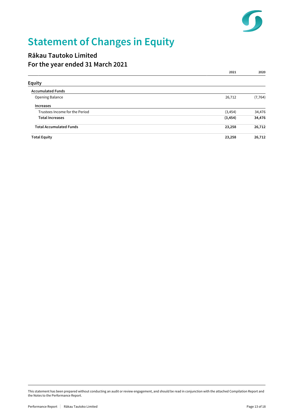

# Statement of Changes in Equity

### Rākau Tautoko Limited For the year ended 31 March 2021

|                                | 2021     | 2020     |
|--------------------------------|----------|----------|
| <b>Equity</b>                  |          |          |
| <b>Accumulated Funds</b>       |          |          |
| <b>Opening Balance</b>         | 26,712   | (7, 764) |
| <b>Increases</b>               |          |          |
| Trustees Income for the Period | (3, 454) | 34,476   |
| <b>Total Increases</b>         | (3, 454) | 34,476   |
| <b>Total Accumulated Funds</b> | 23,258   | 26,712   |
| <b>Total Equity</b>            | 23,258   | 26,712   |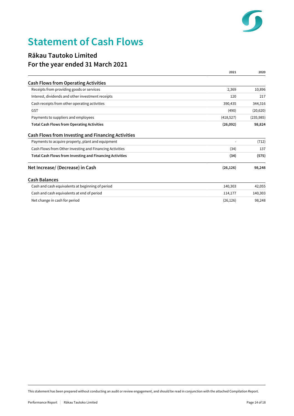

## Statement of Cash Flows

### Rākau Tautoko Limited For the year ended 31 March 2021

|                                                                 | 2021       | 2020       |
|-----------------------------------------------------------------|------------|------------|
| <b>Cash Flows from Operating Activities</b>                     |            |            |
| Receipts from providing goods or services                       | 2,369      | 10,896     |
| Interest, dividends and other investment receipts               | 120        | 217        |
| Cash receipts from other operating activities                   | 390,435    | 344,316    |
| GST                                                             | (490)      | (20, 620)  |
| Payments to suppliers and employees                             | (418, 527) | (235, 985) |
| <b>Total Cash Flows from Operating Activities</b>               | (26,092)   | 98,824     |
| <b>Cash Flows from Investing and Financing Activities</b>       |            |            |
| Payments to acquire property, plant and equipment               |            | (712)      |
| Cash Flows from Other Investing and Financing Activities        | (34)       | 137        |
| <b>Total Cash Flows from Investing and Financing Activities</b> | (34)       | (575)      |
| Net Increase/ (Decrease) in Cash                                | (26, 126)  | 98,248     |
| <b>Cash Balances</b>                                            |            |            |
| Cash and cash equivalents at beginning of period                | 140,303    | 42,055     |
| Cash and cash equivalents at end of period                      | 114,177    | 140,303    |
| Net change in cash for period                                   | (26, 126)  | 98,248     |

This statement has been prepared without conducting an audit or review engagement, and should be read in conjunction with the attached Compilation Report.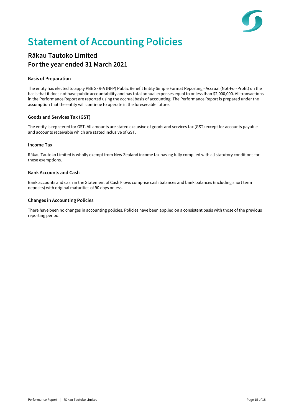

## Statement of Accounting Policies

### Rākau Tautoko Limited For the year ended 31 March 2021

#### Basis of Preparation

The entity has elected to apply PBE SFR-A (NFP) Public Benefit Entity Simple Format Reporting - Accrual (Not-For-Profit) on the basis that it does not have public accountability and has total annual expenses equal to or less than \$2,000,000. All transactions in the Performance Report are reported using the accrual basis of accounting. The Performance Report is prepared under the assumption that the entity will continue to operate in the foreseeable future.

#### Goods and Services Tax (GST)

The entity is registered for GST. All amounts are stated exclusive of goods and services tax (GST) except for accounts payable and accounts receivable which are stated inclusive of GST.

#### Income Tax

Rākau Tautoko Limited is wholly exempt from New Zealand income tax having fully complied with all statutory conditions for these exemptions.

#### Bank Accounts and Cash

Bank accounts and cash in the Statement of Cash Flows comprise cash balances and bank balances (including short term deposits) with original maturities of 90 days or less.

#### Changes in Accounting Policies

There have been no changes in accounting policies. Policies have been applied on a consistent basis with those of the previous reporting period.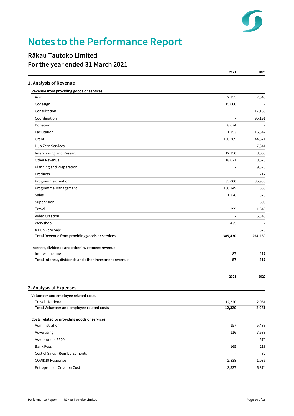

## Notes to the Performance Report

### Rākau Tautoko Limited For the year ended 31 March 2021

|                                                                     | 2021                         | 2020         |
|---------------------------------------------------------------------|------------------------------|--------------|
| 1. Analysis of Revenue                                              |                              |              |
| Revenue from providing goods or services                            |                              |              |
| Admin                                                               | 2,355                        | 2,648        |
| Codesign                                                            | 15,000                       |              |
| Consultation                                                        | ÷,                           | 17,159       |
| Coordination                                                        |                              | 95,191       |
| Donation                                                            | 8,674                        |              |
| Facilitation                                                        | 1,353                        | 16,547       |
| Grant                                                               | 190,269                      | 44,571       |
| Hub Zero Services                                                   | $\blacksquare$               | 7,341        |
| Interviewing and Research                                           | 12,350                       | 8,068        |
| Other Revenue                                                       | 18,021                       | 8,675        |
| Planning and Preparation                                            | ÷,                           | 9,328        |
| Products                                                            |                              | 217          |
| Programme Creation                                                  | 35,000                       | 35,930       |
| Programme Management                                                | 100,349                      | 550          |
| Sales                                                               | 1,326                        | 370          |
| Supervision                                                         | L,                           | 300          |
| Travel                                                              | 299                          | 1,646        |
| Video Creation                                                      |                              | 5,345        |
| Workshop                                                            | 435                          |              |
| X Hub Zero Sale                                                     |                              | 376          |
| Total Revenue from providing goods or services                      | 385,430                      | 254,260      |
|                                                                     |                              |              |
| Interest, dividends and other investment revenue<br>Interest Income | 87                           | 217          |
| Total Interest, dividends and other investment revenue              | 87                           | 217          |
|                                                                     |                              |              |
|                                                                     |                              |              |
|                                                                     | 2021                         | 2020         |
| 2. Analysis of Expenses                                             |                              |              |
| Volunteer and employee related costs                                |                              |              |
| Travel - National                                                   | 12,320                       | 2,061        |
| Total Volunteer and employee related costs                          | 12,320                       | 2,061        |
|                                                                     |                              |              |
| Costs related to providing goods or services                        |                              |              |
| Administration                                                      | 157                          | 5,488        |
| Advertising<br>Assets under \$500                                   | 116                          | 7,683<br>570 |
|                                                                     | $\overline{\phantom{a}}$     |              |
| <b>Bank Fees</b><br>Cost of Sales - Reimbursements                  | 165                          | 218          |
|                                                                     | $\qquad \qquad \blacksquare$ | 82           |
| COVID19 Response                                                    | 2,838                        | 1,036        |
| <b>Entrepreneur Creation Cost</b>                                   | 3,337                        | 6,374        |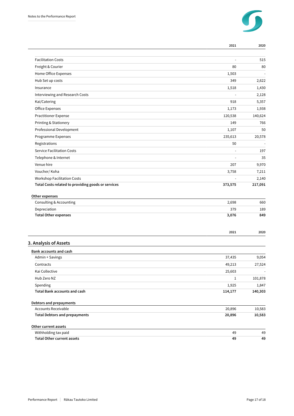

|                                                       | 2021             | 2020             |
|-------------------------------------------------------|------------------|------------------|
|                                                       |                  |                  |
| <b>Facilitation Costs</b>                             |                  | 515              |
| Freight & Courier                                     | 80               | 80               |
| Home Office Expenses                                  | 1,503            |                  |
| Hub Set up costs                                      | 349              | 2,622            |
| Insurance                                             | 1,518            | 1,430            |
| Interviewing and Research Costs                       | ÷,               | 2,128            |
| Kai/Catering                                          | 918              | 5,357            |
| Office Expenses                                       | 1,173            | 1,938            |
| <b>Practitioner Expense</b>                           | 120,538          | 140,624          |
| Printing & Stationery                                 | 149              | 766              |
| Professional Development                              | 1,107            | 50               |
| Programme Expenses                                    | 235,613          | 20,578           |
| Registrations                                         | 50               |                  |
| <b>Service Facilitation Costs</b>                     |                  | 197              |
| Telephone & Internet                                  | L,               | 35               |
| Venue hire                                            | 207              | 9,970            |
| Voucher/Koha                                          | 3,758            | 7,211            |
| <b>Workshop Facilitation Costs</b>                    |                  | 2,140            |
| Other expenses<br>Consulting & Accounting             | 2,698            | 660              |
| Depreciation                                          | 379              | 189              |
| <b>Total Other expenses</b>                           | 3,076            | 849              |
|                                                       | 2021             | 2020             |
| 3. Analysis of Assets                                 |                  |                  |
| <b>Bank accounts and cash</b>                         |                  |                  |
| Admin + Savings                                       | 37,435           | 9,054            |
| Contracts                                             | 49,213           | 27,524           |
| Kai Collective                                        | 25,603           |                  |
| Hub Zero NZ                                           | $\mathbf{1}$     | 101,878          |
| Spending<br><b>Total Bank accounts and cash</b>       | 1,925            | 1,847            |
|                                                       | 114,177          | 140,303          |
| Debtors and prepayments<br><b>Accounts Receivable</b> |                  |                  |
| <b>Total Debtors and prepayments</b>                  | 20,896<br>20,896 | 10,583<br>10,583 |
|                                                       |                  |                  |
| Other current assets                                  |                  |                  |
| Withholding tax paid                                  | 49               | 49               |
| <b>Total Other current assets</b>                     | 49               | 49               |